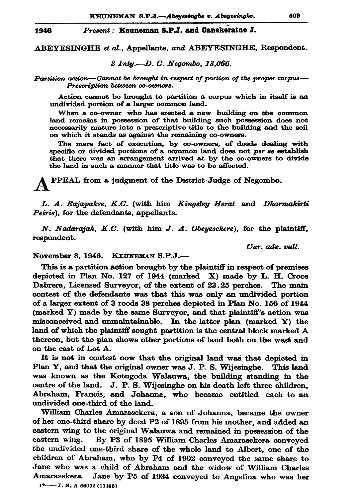## Present: Keuneman S.P.J. and Canekeratne J. 1946

ABEYESINGHE et al., Appellants, and ABEYESINGHE, Respondent.

2 Intu.-D. C. Neaombo. 13.066.

Partition action—Cannot be brought in respect of portion of the proper corpus— Prescription between co-owners.

Action cannot be brought to partition a corpus which in itself is an undivided portion of a larger common land.

When a co-owner who has erected a new building on the common land remains in possession of that building such possession does not necessarily mature into a prescriptive title to the building and the soil on which it stands as against the remaining co-owners.

The mere fact of execution, by co-owners, of deeds dealing with specific or divided portions of a common land does not per se establish that there was an arrangement arrived at by the co-owners to divide the land in such a manner that title was to be affected.

PPEAL from a judgment of the District Judge of Negombo.

L. A. Rajapakse, K.C. (with him Kingsley Herat and Dharmakirti Peiris), for the defendants, appellants.

N. Nadarajah, K.C. (with him J. A. Obeyesekere), for the plaintiff, respondent.

Cur. adv. vult.

November 8. 1946. KEUNEMAN S.P.J.-

This is a partition action brought by the plaintiff in respect of premises depicted in Plan No. 127 of 1944 (marked X) made by L. H. Croos Dabrera, Licensed Surveyor, of the extent of 23.25 perches. The main contest of the defendants was that this was only an undivided portion of a larger extent of 3 roods 38 perches depicted in Plan No. 156 of 1944 (marked Y) made by the same Surveyor, and that plaintiff's action was misconceived and unmaintainable. In the latter plan (marked Y) the land of which the plaintiff sought partition is the central block marked A thereon, but the plan shows other portions of land both on the west and on the east of Lot A.

It is not in contest now that the original land was that depicted in Plan Y, and that the original owner was J. P. S. Wijesinghe. This land was known as the Kotugoda Walauwa, the building standing in the centre of the land. J. P. S. Wijesinghe on his death left three children, Abraham, Francis, and Johanna, who became entitled each to an undivided one-third of the land.

William Charles Amarasekera, a son of Johanna, became the owner of her one-third share by deed P2 of 1895 from his mother, and added an eastern wing to the original Walauwa and remained in possession of the eastern wing. By P3 of 1895 William Charles Amarasekera conveyed the undivided one-third share of the whole land to Albert, one of the children of Abraham, who by P4 of 1902 conveyed the same share to Jane who was a child of Abraham and the widow of William Charles Amarasekera. Jane by P5 of 1934 conveyed to Angelina who was her

 $1^{\circ}$  - J. N. A 66092 (11/46)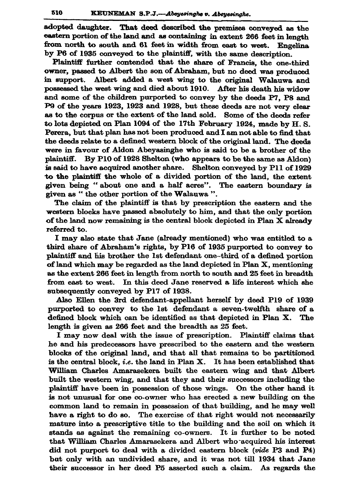adopted daughter. That deed described the premises conveyed as the eastern portion of the land and as containing in extent 266 feet in length from north to south and 61 feet in width from east to west. Engelina by P6 of 1935 conveyed to the plaintiff, with the same description.

Plaintiff further contended that the share of Francis, the one-third owner, passed to Albert the son of Abraham, but no deed was produced in support. Albert added a west wing to the original Walauwa and possessed the west wing and died about 1910. After his death his widow and some of the children purported to convey by the deeds P7, P8 and P9 of the years 1923, 1923 and 1928, but these deeds are not very clear as to the corpus or the extent of the land sold. Some of the deeds refer to lots depicted on Plan 1094 of the 17th February 1924, made by H.S. Perera, but that plan has not been produced and I am not able to find that the deeds relate to a defined western block of the original land. The deeds were in favour of Aldon Abeyasinghe who is said to be a brother of the plaintiff. By P10 of 1928 Shelton (who appears to be the same as Aldon) is said to have acquired another share. Shelton conveyed by P11 of 1929 to the plaintiff the whole of a divided portion of the land, the extent given being "about one and a half acres". The eastern boundary is given as "the other portion of the Walauwa".

The claim of the plaintiff is that by prescription the eastern and the western blocks have passed absolutely to him, and that the only portion of the land now remaining is the central block depicted in Plan X already referred to.

I may also state that Jane (already mentioned) who was entitled to a third share of Abraham's rights, by P16 of 1935 purported to convey to plaintiff and his brother the 1st defendant one-third of a defined portion of land which may be regarded as the land depicted in Plan X, mentioning as the extent 266 feet in length from north to south and 25 feet in breadth from east to west. In this deed Jane reserved a life interest which she subsequently conveyed by P17 of 1938.

Also Ellen the 3rd defendant-appellant herself by deed P19 of 1939 purported to convey to the 1st defendant a seven-twelfth share of a defined block which can be identified as that depicted in Plan X. The length is given as 266 feet and the breadth as 25 feet.

I may now deal with the issue of prescription. Plaintiff claims that he and his predecessors have prescribed to the eastern and the western blocks of the original land, and that all that remains to be partitioned is the central block, *i.e.* the land in Plan  $X$ . It has been established that William Charles Amarasekera built the eastern wing and that Albert built the western wing, and that they and their successors including the plaintiff have been in possession of those wings. On the other hand it is not unusual for one co-owner who has erected a new building on the common land to remain in possession of that building, and he may well have a right to do so. The exercise of that right would not necessarily mature into a prescriptive title to the building and the soil on which it stands as against the remaining co-owners. It is further to be noted that William Charles Amarasekera and Albert who acquired his interest did not purport to deal with a divided eastern block (vide P3 and P4) but only with an undivided share, and it was not till 1934 that Jane their successor in her deed P5 asserted such a claim. As regards the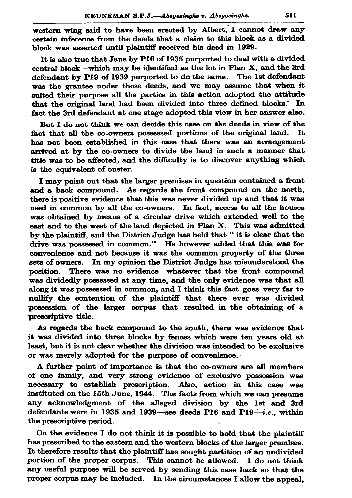western wing said to have been erected by Albert, I cannot draw any certain inference from the deeds that a claim to this block as a divided block was asserted until plaintiff received his deed in 1929.

It is also true that Jane by P16 of 1935 purported to deal with a divided central block—which may be identified as the lot in Plan X, and the 3rd defendant by P19 of 1939 purported to do the same. The 1st defendant was the grantee under those deeds, and we may assume that when it suited their purpose all the parties in this action adopted the attitude that the original land had been divided into three defined blocks. In fact the 3rd defendant at one stage adopted this view in her answer also.

But I do not think we can decide this case on the deeds in view of the fact that all the co-owners possessed portions of the original land. It has not been established in this case that there was an arrangement arrived at by the co-owners to divide the land in such a manner that title was to be affected, and the difficulty is to discover anything which is the equivalent of ouster.

I may point out that the larger premises in question contained a front and a back compound. As regards the front compound on the north. there is positive evidence that this was never divided up and that it was used in common by all the co-owners. In fact, access to all the houses was obtained by means of a circular drive which extended well to the east and to the west of the land depicted in Plan X. This was admitted by the plaintiff, and the District Judge has held that " it is clear that the drive was possessed in common." He however added that this was for convenience and not because it was the common property of the three sets of owners. In my opinion the District Judge has misunderstood the position. There was no evidence whatever that the front compound was dividedly possessed at any time, and the only evidence was that all along it was possessed in common, and I think this fact goes very far to nullify the contention of the plaintiff that there ever was divided possession of the larger corpus that resulted in the obtaining of a prescriptive title.

As regards the back compound to the south, there was evidence that it was divided into three blocks by fences which were ten years old at least, but it is not clear whether the division was intended to be exclusive or was merely adopted for the purpose of convenience.

A further point of importance is that the co-owners are all members of one family, and very strong evidence of exclusive possession was necessary to establish prescription. Also, action in this case was instituted on the 15th June, 1944. The facts from which we can presume any acknowledgment of the alleged division by the 1st and 3rd defendants were in 1935 and 1939—see deeds P16 and P19—i.e., within the prescriptive period.

On the evidence I do not think it is possible to hold that the plaintiff has prescribed to the eastern and the western blocks of the larger premises. It therefore results that the plaintiff has sought partition of an undivided portion of the proper corpus. This cannot be allowed. I do not think any useful purpose will be served by sending this case back so that the proper corpus may be included. In the circumstances I allow the appeal,